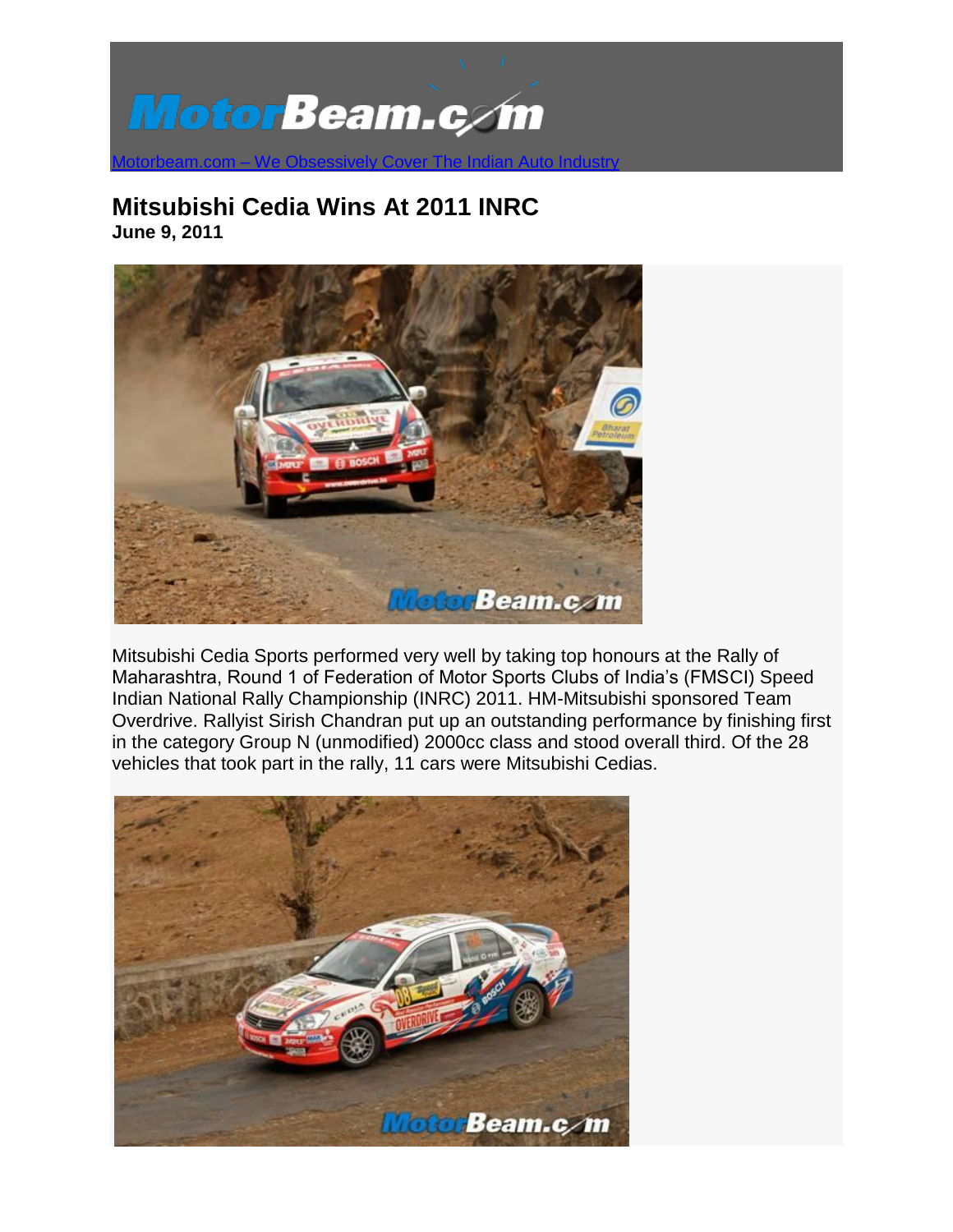

## **Mitsubishi Cedia Wins At 2011 INRC June 9, 2011**



Mitsubishi Cedia Sports performed very well by taking top honours at the Rally of Maharashtra, Round 1 of Federation of Motor Sports Clubs of India's (FMSCI) Speed Indian National Rally Championship (INRC) 2011. HM-Mitsubishi sponsored Team Overdrive. Rallyist Sirish Chandran put up an outstanding performance by finishing first in the category Group N (unmodified) 2000cc class and stood overall third. Of the 28 vehicles that took part in the rally, 11 cars were Mitsubishi Cedias.